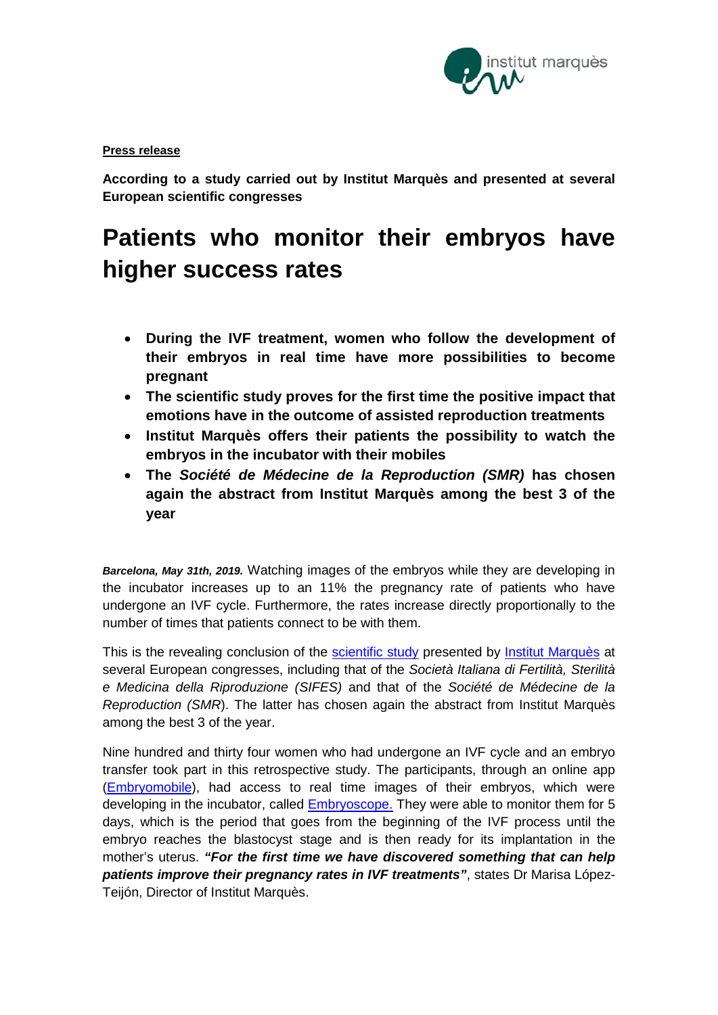

## **Press release**

**According to a study carried out by Institut Marquès and presented at several European scientific congresses**

# **Patients who monitor their embryos have higher success rates**

- **During the IVF treatment, women who follow the development of their embryos in real time have more possibilities to become pregnant**
- **The scientific study proves for the first time the positive impact that emotions have in the outcome of assisted reproduction treatments**
- **Institut Marquès offers their patients the possibility to watch the embryos in the incubator with their mobiles**
- **The** *Société de Médecine de la Reproduction (SMR)* **has chosen again the abstract from Institut Marquès among the best 3 of the year**

*Barcelona, May 31th, 2019.* Watching images of the embryos while they are developing in the incubator increases up to an 11% the pregnancy rate of patients who have undergone an IVF cycle. Furthermore, the rates increase directly proportionally to the number of times that patients connect to be with them.

This is the revealing conclusion of the [scientific study](https://institutomarques.com/wp-content/uploads/2019/05/ABSTRACT-ESHRE-EMBRYOMOBILE-2019-esp.pdf) presented by [Institut Marquès](https://institutomarques.com/en/) at several European congresses, including that of the *Società Italiana di Fertilità, Sterilità e Medicina della Riproduzione (SIFES)* and that of the *Société de Médecine de la Reproduction (SMR*). The latter has chosen again the abstract from Institut Marquès among the best 3 of the year.

Nine hundred and thirty four women who had undergone an IVF cycle and an embryo transfer took part in this retrospective study. The participants, through an online app [\(Embryomobile\)](https://institutomarques.com/en/observe-your-embryos-from-home/), had access to real time images of their embryos, which were developing in the incubator, called [Embryoscope.](https://institutomarques.com/en/assisted-reproduction/special-techniques/embryoscope/) They were able to monitor them for 5 days, which is the period that goes from the beginning of the IVF process until the embryo reaches the blastocyst stage and is then ready for its implantation in the mother's uterus. *"For the first time we have discovered something that can help patients improve their pregnancy rates in IVF treatments"*, states Dr Marisa López-Teijón, Director of Institut Marquès.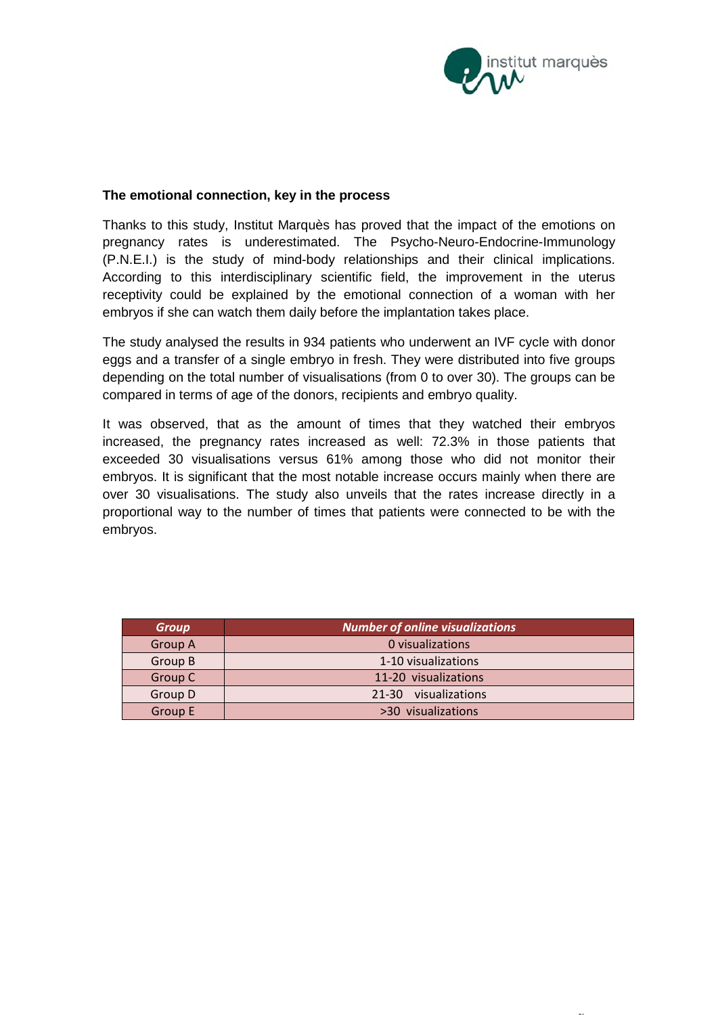

 $\sim$ 

### **The emotional connection, key in the process**

Thanks to this study, Institut Marquès has proved that the impact of the emotions on pregnancy rates is underestimated. The Psycho-Neuro-Endocrine-Immunology (P.N.E.I.) is the study of mind-body relationships and their clinical implications. According to this interdisciplinary scientific field, the improvement in the uterus receptivity could be explained by the emotional connection of a woman with her embryos if she can watch them daily before the implantation takes place.

The study analysed the results in 934 patients who underwent an IVF cycle with donor eggs and a transfer of a single embryo in fresh. They were distributed into five groups depending on the total number of visualisations (from 0 to over 30). The groups can be compared in terms of age of the donors, recipients and embryo quality.

It was observed, that as the amount of times that they watched their embryos increased, the pregnancy rates increased as well: 72.3% in those patients that exceeded 30 visualisations versus 61% among those who did not monitor their embryos. It is significant that the most notable increase occurs mainly when there are over 30 visualisations. The study also unveils that the rates increase directly in a proportional way to the number of times that patients were connected to be with the embryos.

| <b>Group</b>   | Number of online visualizations |
|----------------|---------------------------------|
| <b>Group A</b> | 0 visualizations                |
| Group B        | 1-10 visualizations             |
| Group C        | 11-20 visualizations            |
| Group D        | 21-30 visualizations            |
| <b>Group E</b> | >30 visualizations              |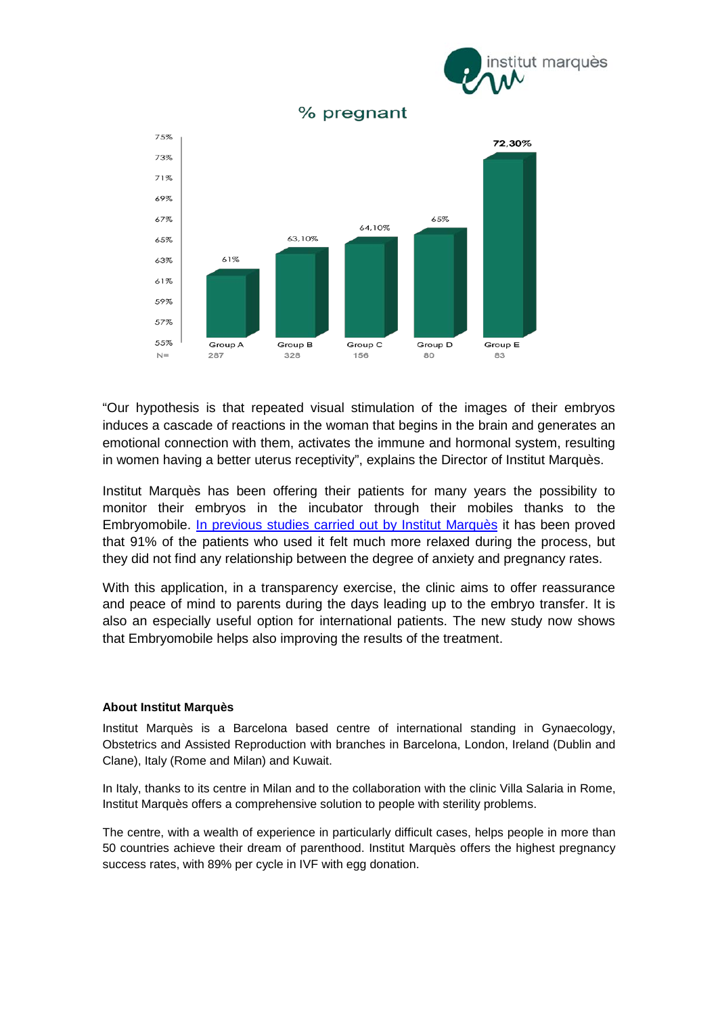



% pregnant

"Our hypothesis is that repeated visual stimulation of the images of their embryos induces a cascade of reactions in the woman that begins in the brain and generates an emotional connection with them, activates the immune and hormonal system, resulting in women having a better uterus receptivity", explains the Director of Institut Marquès.

Institut Marquès has been offering their patients for many years the possibility to monitor their embryos in the incubator through their mobiles thanks to the Embryomobile. [In previous studies carried out by Institut Marquès](https://institutomarques.com/wp-content/uploads/2016/01/Institut-Marqu%C3%A8s_NP-ESHRE_Embriom%C3%B3vil_ES.pdf) it has been proved that 91% of the patients who used it felt much more relaxed during the process, but they did not find any relationship between the degree of anxiety and pregnancy rates.

With this application, in a transparency exercise, the clinic aims to offer reassurance and peace of mind to parents during the days leading up to the embryo transfer. It is also an especially useful option for international patients. The new study now shows that Embryomobile helps also improving the results of the treatment.

#### **About Institut Marquès**

Institut Marquès is a Barcelona based centre of international standing in Gynaecology, Obstetrics and Assisted Reproduction with branches in Barcelona, London, Ireland (Dublin and Clane), Italy (Rome and Milan) and Kuwait.

In Italy, thanks to its centre in Milan and to the collaboration with the clinic Villa Salaria in Rome, Institut Marquès offers a comprehensive solution to people with sterility problems.

The centre, with a wealth of experience in particularly difficult cases, helps people in more than 50 countries achieve their dream of parenthood. Institut Marquès offers the highest pregnancy success rates, with 89% per cycle in IVF with egg donation.